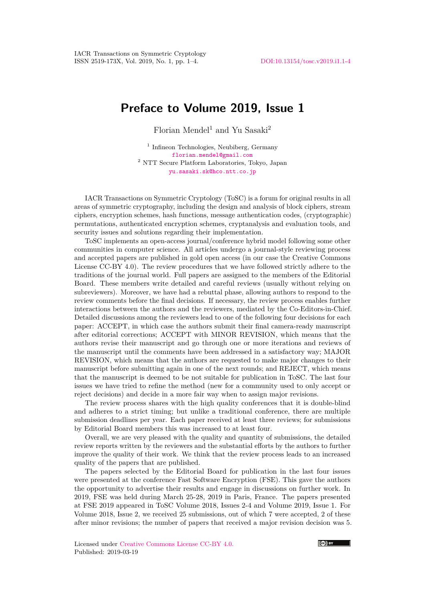## **Preface to Volume 2019, Issue 1**

Florian Mendel<sup>1</sup> and Yu Sasaki<sup>2</sup>

<sup>1</sup> Infineon Technologies, Neubiberg, Germany [florian.mendel@gmail.com](mailto:florian.mendel@gmail.com)  $^{\rm 2}$ NTT Secure Platform Laboratories, Tokyo, Japan [yu.sasaki.sk@hco.ntt.co.jp](mailto:yu.sasaki.sk@hco.ntt.co.jp)

IACR Transactions on Symmetric Cryptology (ToSC) is a forum for original results in all areas of symmetric cryptography, including the design and analysis of block ciphers, stream ciphers, encryption schemes, hash functions, message authentication codes, (cryptographic) permutations, authenticated encryption schemes, cryptanalysis and evaluation tools, and security issues and solutions regarding their implementation.

ToSC implements an open-access journal/conference hybrid model following some other communities in computer science. All articles undergo a journal-style reviewing process and accepted papers are published in gold open access (in our case the Creative Commons License CC-BY 4.0). The review procedures that we have followed strictly adhere to the traditions of the journal world. Full papers are assigned to the members of the Editorial Board. These members write detailed and careful reviews (usually without relying on subreviewers). Moreover, we have had a rebuttal phase, allowing authors to respond to the review comments before the final decisions. If necessary, the review process enables further interactions between the authors and the reviewers, mediated by the Co-Editors-in-Chief. Detailed discussions among the reviewers lead to one of the following four decisions for each paper: ACCEPT, in which case the authors submit their final camera-ready manuscript after editorial corrections; ACCEPT with MINOR REVISION, which means that the authors revise their manuscript and go through one or more iterations and reviews of the manuscript until the comments have been addressed in a satisfactory way; MAJOR REVISION, which means that the authors are requested to make major changes to their manuscript before submitting again in one of the next rounds; and REJECT, which means that the manuscript is deemed to be not suitable for publication in ToSC. The last four issues we have tried to refine the method (new for a community used to only accept or reject decisions) and decide in a more fair way when to assign major revisions.

The review process shares with the high quality conferences that it is double-blind and adheres to a strict timing; but unlike a traditional conference, there are multiple submission deadlines per year. Each paper received at least three reviews; for submissions by Editorial Board members this was increased to at least four.

Overall, we are very pleased with the quality and quantity of submissions, the detailed review reports written by the reviewers and the substantial efforts by the authors to further improve the quality of their work. We think that the review process leads to an increased quality of the papers that are published.

The papers selected by the Editorial Board for publication in the last four issues were presented at the conference Fast Software Encryption (FSE). This gave the authors the opportunity to advertise their results and engage in discussions on further work. In 2019, FSE was held during March 25-28, 2019 in Paris, France. The papers presented at FSE 2019 appeared in ToSC Volume 2018, Issues 2-4 and Volume 2019, Issue 1. For Volume 2018, Issue 2, we received 25 submissions, out of which 7 were accepted, 2 of these after minor revisions; the number of papers that received a major revision decision was 5.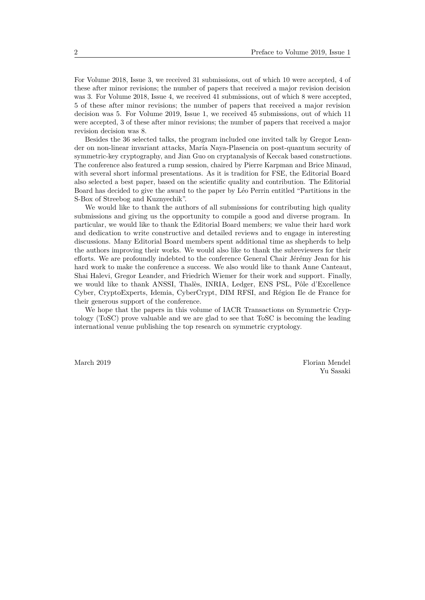For Volume 2018, Issue 3, we received 31 submissions, out of which 10 were accepted, 4 of these after minor revisions; the number of papers that received a major revision decision was 3. For Volume 2018, Issue 4, we received 41 submissions, out of which 8 were accepted, 5 of these after minor revisions; the number of papers that received a major revision decision was 5. For Volume 2019, Issue 1, we received 45 submissions, out of which 11 were accepted, 3 of these after minor revisions; the number of papers that received a major revision decision was 8.

Besides the 36 selected talks, the program included one invited talk by Gregor Leander on non-linear invariant attacks, María Naya-Plasencia on post-quantum security of symmetric-key cryptography, and Jian Guo on cryptanalysis of Keccak based constructions. The conference also featured a rump session, chaired by Pierre Karpman and Brice Minaud, with several short informal presentations. As it is tradition for FSE, the Editorial Board also selected a best paper, based on the scientific quality and contribution. The Editorial Board has decided to give the award to the paper by Léo Perrin entitled "Partitions in the S-Box of Streebog and Kuznyechik".

We would like to thank the authors of all submissions for contributing high quality submissions and giving us the opportunity to compile a good and diverse program. In particular, we would like to thank the Editorial Board members; we value their hard work and dedication to write constructive and detailed reviews and to engage in interesting discussions. Many Editorial Board members spent additional time as shepherds to help the authors improving their works. We would also like to thank the subreviewers for their efforts. We are profoundly indebted to the conference General Chair Jérémy Jean for his hard work to make the conference a success. We also would like to thank Anne Canteaut, Shai Halevi, Gregor Leander, and Friedrich Wiemer for their work and support. Finally, we would like to thank ANSSI, Thalès, INRIA, Ledger, ENS PSL, Pôle d'Excellence Cyber, CryptoExperts, Idemia, CyberCrypt, DIM RFSI, and Région Ile de France for their generous support of the conference.

We hope that the papers in this volume of IACR Transactions on Symmetric Cryptology (ToSC) prove valuable and we are glad to see that ToSC is becoming the leading international venue publishing the top research on symmetric cryptology.

March 2019 Florian Mendel Yu Sasaki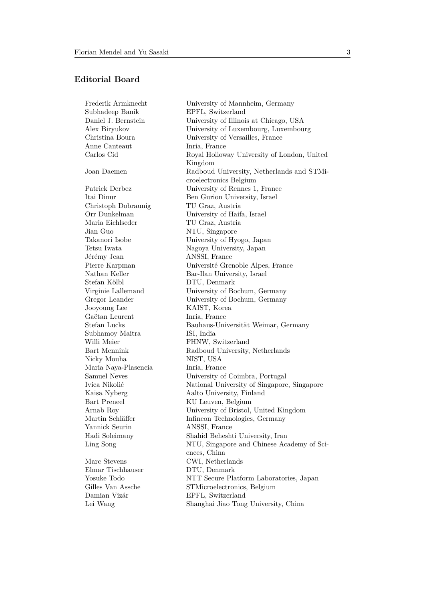## **Editorial Board**

Frederik Armknecht University of Mannheim, Germany Subhadeep Banik EPFL, Switzerland Daniel J. Bernstein University of Illinois at Chicago, USA Alex Biryukov University of Luxembourg, Luxembourg Christina Boura University of Versailles, France Anne Canteaut Inria, France Carlos Cid Royal Holloway University of London, United Kingdom Joan Daemen Radboud University, Netherlands and STMicroelectronics Belgium Patrick Derbez University of Rennes 1, France Itai Dinur Ben Gurion University, Israel Christoph Dobraunig TU Graz, Austria Orr Dunkelman University of Haifa, Israel Maria Eichlseder TU Graz, Austria Jian Guo NTU, Singapore Takanori Isobe University of Hyogo, Japan Tetsu Iwata Nagoya University, Japan Jérémy Jean ANSSI, France Pierre Karpman Université Grenoble Alpes, France Nathan Keller Bar-Ilan University, Israel Stefan Kölbl DTU, Denmark Virginie Lallemand University of Bochum, Germany Gregor Leander University of Bochum, Germany Jooyoung Lee KAIST, Korea Gaëtan Leurent Inria, France Stefan Lucks Bauhaus-Universität Weimar, Germany Subhamoy Maitra ISI, India Willi Meier FHNW, Switzerland Bart Mennink Radboud University, Netherlands Nicky Mouha NIST, USA Maria Naya-Plasencia Inria, France Samuel Neves University of Coimbra, Portugal Ivica Nikolić National University of Singapore, Singapore Kaisa Nyberg Aalto University, Finland Bart Preneel KU Leuven, Belgium Arnab Roy University of Bristol, United Kingdom Martin Schläffer Infineon Technologies, Germany Yannick Seurin ANSSI, France Hadi Soleimany Shahid Beheshti University, Iran Ling Song NTU, Singapore and Chinese Academy of Sciences, China Marc Stevens CWI, Netherlands Elmar Tischhauser DTU, Denmark Yosuke Todo NTT Secure Platform Laboratories, Japan Gilles Van Assche STMicroelectronics, Belgium Damian Vizár EPFL, Switzerland Lei Wang Shanghai Jiao Tong University, China